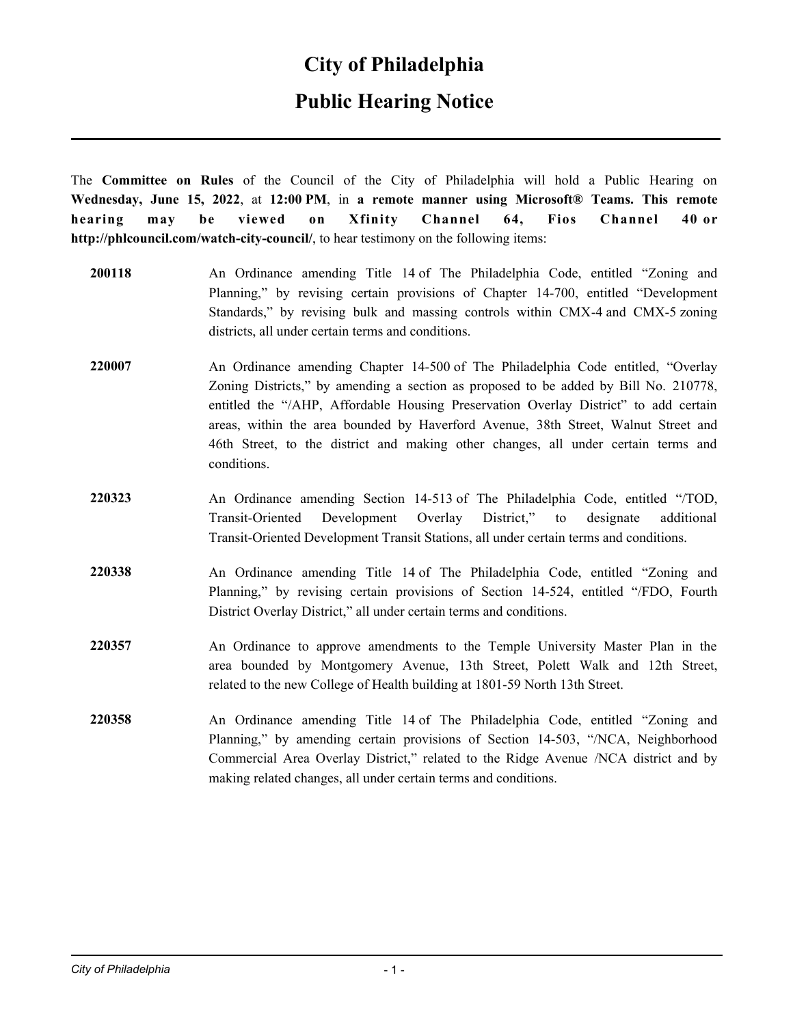## **Public Hearing Notice**

The **Committee on Rules** of the Council of the City of Philadelphia will hold a Public Hearing on **Wednesday, June 15, 2022**, at **12:00 PM**, in **a remote manner using Microsoft® Teams. This remote hearing may be viewed on Xfinity Channel 64, Fios Channel 40 or http://phlcouncil.com/watch-city-council/**, to hear testimony on the following items:

- **200118** An Ordinance amending Title 14 of The Philadelphia Code, entitled "Zoning and Planning," by revising certain provisions of Chapter 14-700, entitled "Development Standards," by revising bulk and massing controls within CMX-4 and CMX-5 zoning districts, all under certain terms and conditions.
- **220007** An Ordinance amending Chapter 14-500 of The Philadelphia Code entitled, "Overlay Zoning Districts," by amending a section as proposed to be added by Bill No. 210778, entitled the "/AHP, Affordable Housing Preservation Overlay District" to add certain areas, within the area bounded by Haverford Avenue, 38th Street, Walnut Street and 46th Street, to the district and making other changes, all under certain terms and conditions.
- **220323** An Ordinance amending Section 14-513 of The Philadelphia Code, entitled "/TOD, Transit-Oriented Development Overlay District," to designate additional Transit-Oriented Development Transit Stations, all under certain terms and conditions.
- **220338** An Ordinance amending Title 14 of The Philadelphia Code, entitled "Zoning and Planning," by revising certain provisions of Section 14-524, entitled "/FDO, Fourth District Overlay District," all under certain terms and conditions.
- **220357** An Ordinance to approve amendments to the Temple University Master Plan in the area bounded by Montgomery Avenue, 13th Street, Polett Walk and 12th Street, related to the new College of Health building at 1801-59 North 13th Street.
- **220358** An Ordinance amending Title 14 of The Philadelphia Code, entitled "Zoning and Planning," by amending certain provisions of Section 14-503, "/NCA, Neighborhood Commercial Area Overlay District," related to the Ridge Avenue /NCA district and by making related changes, all under certain terms and conditions.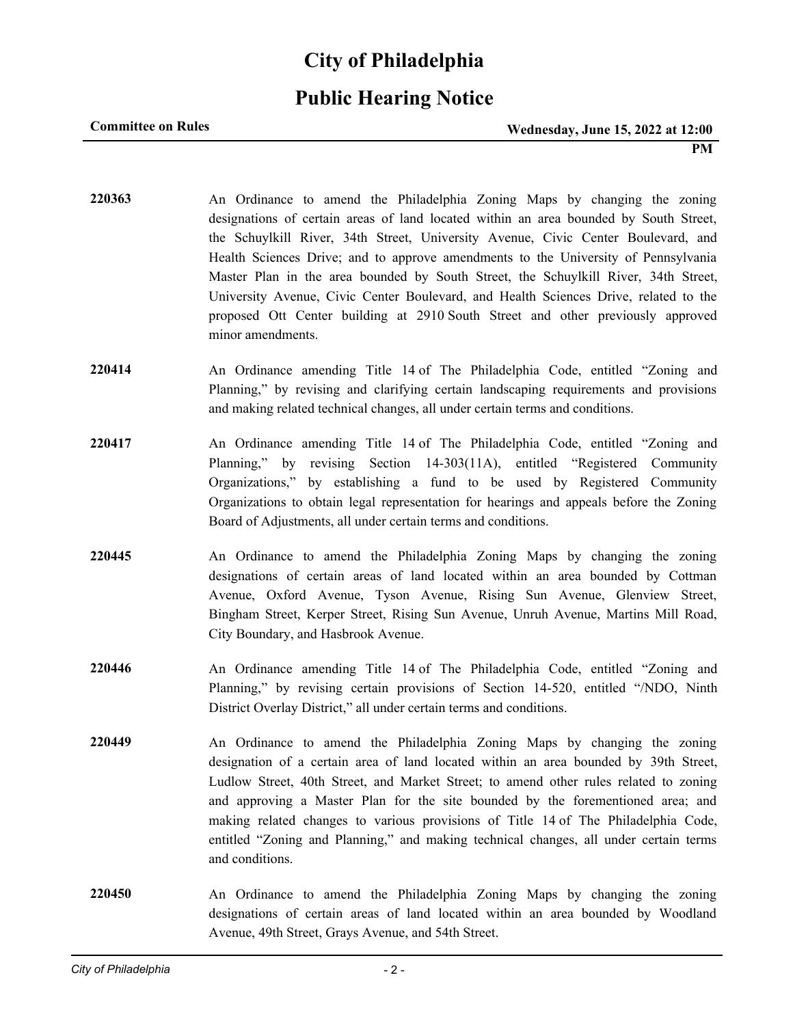### **Public Hearing Notice**

#### **Committee on Rules**

- **220363** An Ordinance to amend the Philadelphia Zoning Maps by changing the zoning designations of certain areas of land located within an area bounded by South Street, the Schuylkill River, 34th Street, University Avenue, Civic Center Boulevard, and Health Sciences Drive; and to approve amendments to the University of Pennsylvania Master Plan in the area bounded by South Street, the Schuylkill River, 34th Street, University Avenue, Civic Center Boulevard, and Health Sciences Drive, related to the proposed Ott Center building at 2910 South Street and other previously approved minor amendments. **220414** An Ordinance amending Title 14 of The Philadelphia Code, entitled "Zoning and Planning," by revising and clarifying certain landscaping requirements and provisions and making related technical changes, all under certain terms and conditions. **220417** An Ordinance amending Title 14 of The Philadelphia Code, entitled "Zoning and Planning," by revising Section 14-303(11A), entitled "Registered Community Organizations," by establishing a fund to be used by Registered Community Organizations to obtain legal representation for hearings and appeals before the Zoning Board of Adjustments, all under certain terms and conditions. **220445** An Ordinance to amend the Philadelphia Zoning Maps by changing the zoning designations of certain areas of land located within an area bounded by Cottman Avenue, Oxford Avenue, Tyson Avenue, Rising Sun Avenue, Glenview Street, Bingham Street, Kerper Street, Rising Sun Avenue, Unruh Avenue, Martins Mill Road, City Boundary, and Hasbrook Avenue.
- **220446** An Ordinance amending Title 14 of The Philadelphia Code, entitled "Zoning and Planning," by revising certain provisions of Section 14-520, entitled "/NDO, Ninth District Overlay District," all under certain terms and conditions.
- **220449** An Ordinance to amend the Philadelphia Zoning Maps by changing the zoning designation of a certain area of land located within an area bounded by 39th Street, Ludlow Street, 40th Street, and Market Street; to amend other rules related to zoning and approving a Master Plan for the site bounded by the forementioned area; and making related changes to various provisions of Title 14 of The Philadelphia Code, entitled "Zoning and Planning," and making technical changes, all under certain terms and conditions.
- **220450** An Ordinance to amend the Philadelphia Zoning Maps by changing the zoning designations of certain areas of land located within an area bounded by Woodland Avenue, 49th Street, Grays Avenue, and 54th Street.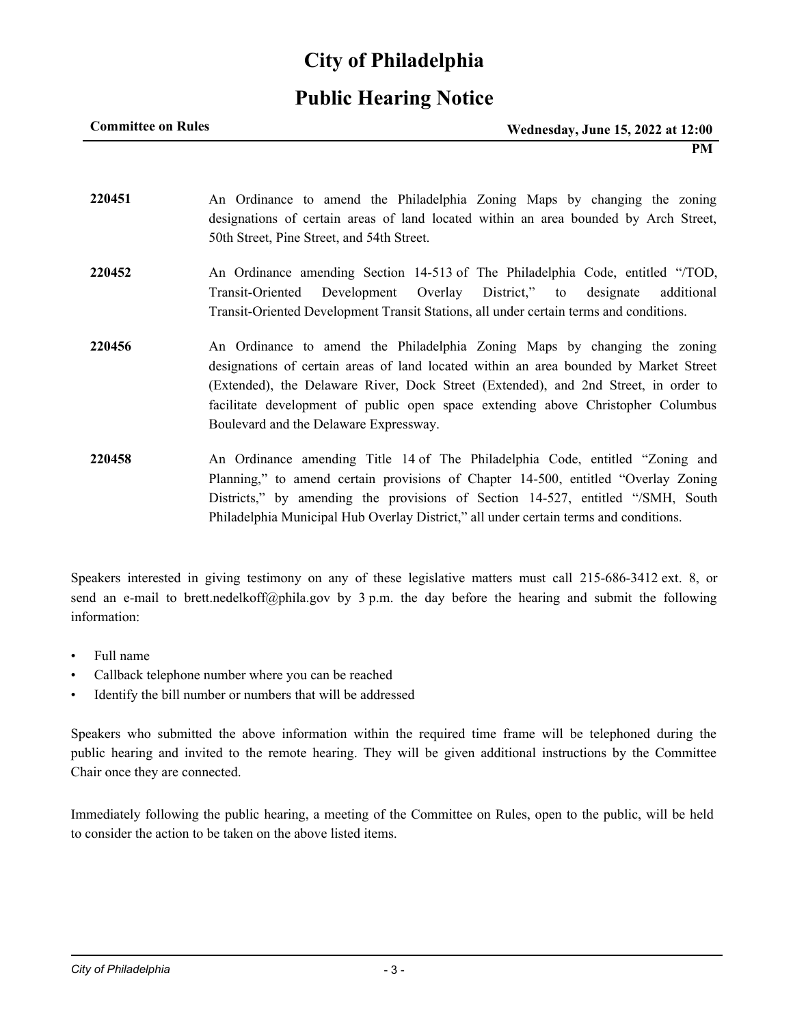## **Public Hearing Notice**

| <b>Committee on Rules</b> | <b>Wednesday, June 15, 2022 at 12:00</b> |
|---------------------------|------------------------------------------|
|                           | PМ                                       |

- **220451** An Ordinance to amend the Philadelphia Zoning Maps by changing the zoning designations of certain areas of land located within an area bounded by Arch Street, 50th Street, Pine Street, and 54th Street.
- **220452** An Ordinance amending Section 14-513 of The Philadelphia Code, entitled "/TOD, Transit-Oriented Development Overlay District," to designate additional Transit-Oriented Development Transit Stations, all under certain terms and conditions.
- **220456** An Ordinance to amend the Philadelphia Zoning Maps by changing the zoning designations of certain areas of land located within an area bounded by Market Street (Extended), the Delaware River, Dock Street (Extended), and 2nd Street, in order to facilitate development of public open space extending above Christopher Columbus Boulevard and the Delaware Expressway.
- **220458** An Ordinance amending Title 14 of The Philadelphia Code, entitled "Zoning and Planning," to amend certain provisions of Chapter 14-500, entitled "Overlay Zoning Districts," by amending the provisions of Section 14-527, entitled "/SMH, South Philadelphia Municipal Hub Overlay District," all under certain terms and conditions.

Speakers interested in giving testimony on any of these legislative matters must call 215-686-3412 ext. 8, or send an e-mail to brett.nedelkoff@phila.gov by 3 p.m. the day before the hearing and submit the following information:

- Full name
- Callback telephone number where you can be reached
- Identify the bill number or numbers that will be addressed

Speakers who submitted the above information within the required time frame will be telephoned during the public hearing and invited to the remote hearing. They will be given additional instructions by the Committee Chair once they are connected.

Immediately following the public hearing, a meeting of the Committee on Rules, open to the public, will be held to consider the action to be taken on the above listed items.